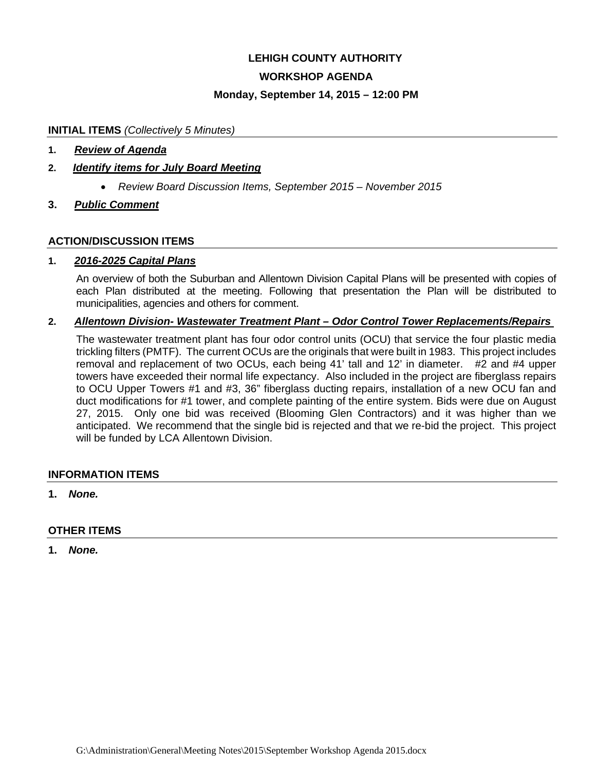## **LEHIGH COUNTY AUTHORITY**

## **WORKSHOP AGENDA**

#### **Monday, September 14, 2015 – 12:00 PM**

#### **INITIAL ITEMS** *(Collectively 5 Minutes)*

#### **1.** *Review of Agenda*

## **2.** *Identify items for July Board Meeting*

- *Review Board Discussion Items, September 2015 November 2015*
- **3.** *Public Comment*

#### **ACTION/DISCUSSION ITEMS**

#### **1.** *2016-2025 Capital Plans*

An overview of both the Suburban and Allentown Division Capital Plans will be presented with copies of each Plan distributed at the meeting. Following that presentation the Plan will be distributed to municipalities, agencies and others for comment.

#### **2.** *Allentown Division- Wastewater Treatment Plant – Odor Control Tower Replacements/Repairs*

The wastewater treatment plant has four odor control units (OCU) that service the four plastic media trickling filters (PMTF). The current OCUs are the originals that were built in 1983. This project includes removal and replacement of two OCUs, each being 41' tall and 12' in diameter. #2 and #4 upper towers have exceeded their normal life expectancy. Also included in the project are fiberglass repairs to OCU Upper Towers #1 and #3, 36" fiberglass ducting repairs, installation of a new OCU fan and duct modifications for #1 tower, and complete painting of the entire system. Bids were due on August 27, 2015. Only one bid was received (Blooming Glen Contractors) and it was higher than we anticipated. We recommend that the single bid is rejected and that we re-bid the project. This project will be funded by LCA Allentown Division.

#### **INFORMATION ITEMS**

**1.** *None.* 

#### **OTHER ITEMS**

**1.** *None.*